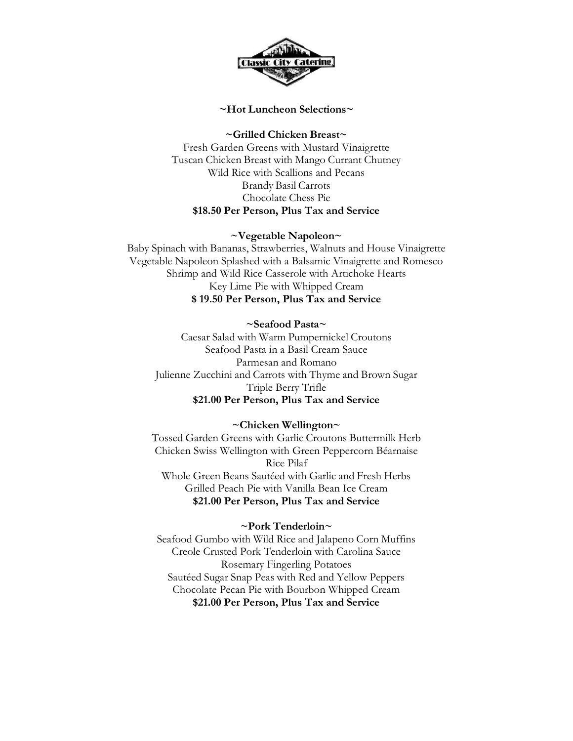

### **~Hot Luncheon Selections~**

**~Grilled Chicken Breast~**

Fresh Garden Greens with Mustard Vinaigrette Tuscan Chicken Breast with Mango Currant Chutney Wild Rice with Scallions and Pecans Brandy Basil Carrots Chocolate Chess Pie **\$18.50 Per Person, Plus Tax and Service**

## **~Vegetable Napoleon~**

Baby Spinach with Bananas, Strawberries, Walnuts and House Vinaigrette Vegetable Napoleon Splashed with a Balsamic Vinaigrette and Romesco Shrimp and Wild Rice Casserole with Artichoke Hearts Key Lime Pie with Whipped Cream **\$ 19.50 Per Person, Plus Tax and Service**

## **~Seafood Pasta~**

Caesar Salad with Warm Pumpernickel Croutons Seafood Pasta in a Basil Cream Sauce Parmesan and Romano Julienne Zucchini and Carrots with Thyme and Brown Sugar Triple Berry Trifle **\$21.00 Per Person, Plus Tax and Service**

# **~Chicken Wellington~**

Tossed Garden Greens with Garlic Croutons Buttermilk Herb Chicken Swiss Wellington with Green Peppercorn Béarnaise Rice Pilaf Whole Green Beans Sautéed with Garlic and Fresh Herbs Grilled Peach Pie with Vanilla Bean Ice Cream **\$21.00 Per Person, Plus Tax and Service**

### **~Pork Tenderloin~**

Seafood Gumbo with Wild Rice and Jalapeno Corn Muffins Creole Crusted Pork Tenderloin with Carolina Sauce Rosemary Fingerling Potatoes Sautéed Sugar Snap Peas with Red and Yellow Peppers Chocolate Pecan Pie with Bourbon Whipped Cream **\$21.00 Per Person, Plus Tax and Service**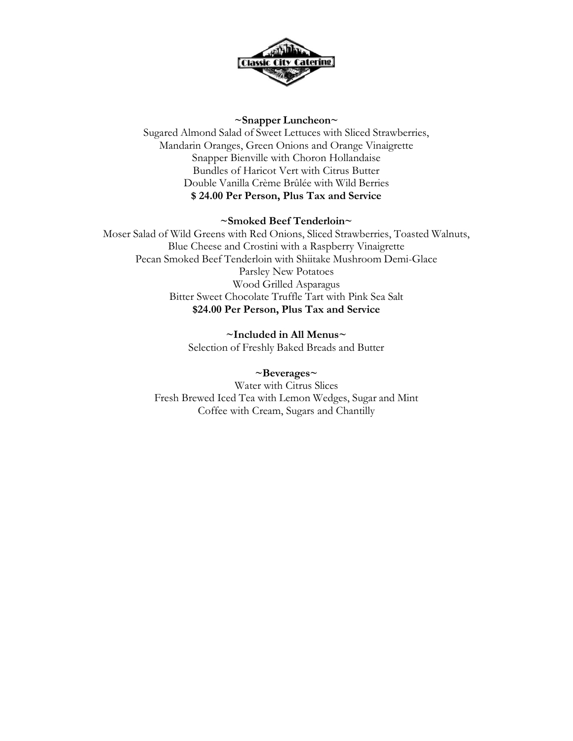

## **~Snapper Luncheon~**

Sugared Almond Salad of Sweet Lettuces with Sliced Strawberries, Mandarin Oranges, Green Onions and Orange Vinaigrette Snapper Bienville with Choron Hollandaise Bundles of Haricot Vert with Citrus Butter Double Vanilla Crème Brûlée with Wild Berries **\$ 24.00 Per Person, Plus Tax and Service**

# **~Smoked Beef Tenderloin~**

Moser Salad of Wild Greens with Red Onions, Sliced Strawberries, Toasted Walnuts, Blue Cheese and Crostini with a Raspberry Vinaigrette Pecan Smoked Beef Tenderloin with Shiitake Mushroom Demi-Glace Parsley New Potatoes Wood Grilled Asparagus Bitter Sweet Chocolate Truffle Tart with Pink Sea Salt **\$24.00 Per Person, Plus Tax and Service**

> **~Included in All Menus~** Selection of Freshly Baked Breads and Butter

## **~Beverages~**

Water with Citrus Slices Fresh Brewed Iced Tea with Lemon Wedges, Sugar and Mint Coffee with Cream, Sugars and Chantilly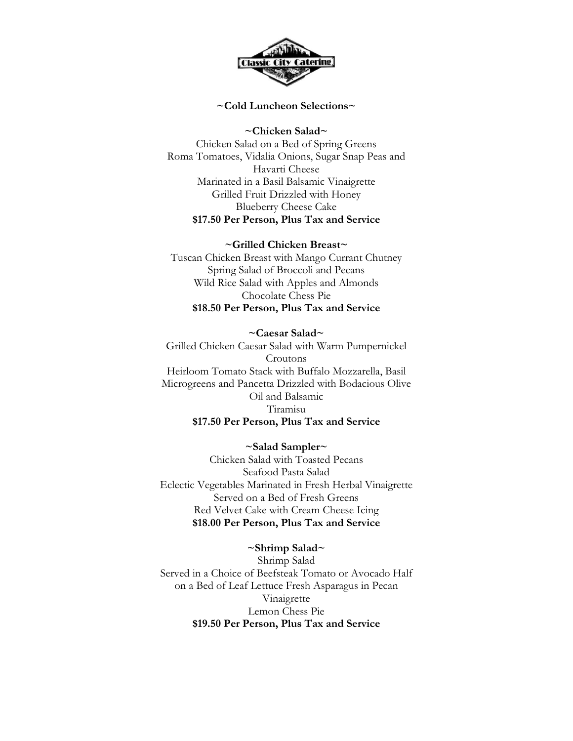

#### **~Cold Luncheon Selections~**

**~Chicken Salad~**  Chicken Salad on a Bed of Spring Greens Roma Tomatoes, Vidalia Onions, Sugar Snap Peas and Havarti Cheese Marinated in a Basil Balsamic Vinaigrette Grilled Fruit Drizzled with Honey Blueberry Cheese Cake **\$17.50 Per Person, Plus Tax and Service**

#### **~Grilled Chicken Breast~**

Tuscan Chicken Breast with Mango Currant Chutney Spring Salad of Broccoli and Pecans Wild Rice Salad with Apples and Almonds Chocolate Chess Pie **\$18.50 Per Person, Plus Tax and Service**

# **~Caesar Salad~**  Grilled Chicken Caesar Salad with Warm Pumpernickel Croutons Heirloom Tomato Stack with Buffalo Mozzarella, Basil Microgreens and Pancetta Drizzled with Bodacious Olive Oil and Balsamic Tiramisu **\$17.50 Per Person, Plus Tax and Service**

### **~Salad Sampler~**

Chicken Salad with Toasted Pecans Seafood Pasta Salad Eclectic Vegetables Marinated in Fresh Herbal Vinaigrette Served on a Bed of Fresh Greens Red Velvet Cake with Cream Cheese Icing **\$18.00 Per Person, Plus Tax and Service**

#### **~Shrimp Salad~**

Shrimp Salad Served in a Choice of Beefsteak Tomato or Avocado Half on a Bed of Leaf Lettuce Fresh Asparagus in Pecan Vinaigrette Lemon Chess Pie **\$19.50 Per Person, Plus Tax and Service**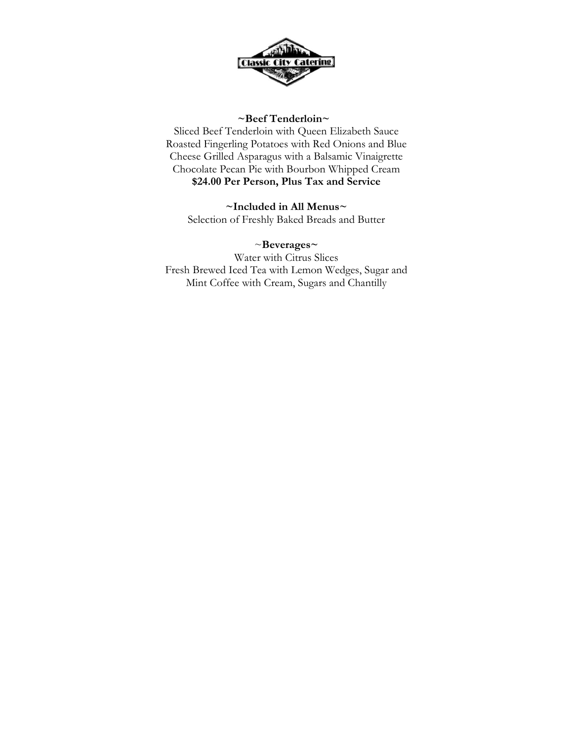

## **~Beef Tenderloin~**

Sliced Beef Tenderloin with Queen Elizabeth Sauce Roasted Fingerling Potatoes with Red Onions and Blue Cheese Grilled Asparagus with a Balsamic Vinaigrette Chocolate Pecan Pie with Bourbon Whipped Cream **\$24.00 Per Person, Plus Tax and Service**

**~Included in All Menus~**  Selection of Freshly Baked Breads and Butter

## ~**Beverages~**

Water with Citrus Slices Fresh Brewed Iced Tea with Lemon Wedges, Sugar and Mint Coffee with Cream, Sugars and Chantilly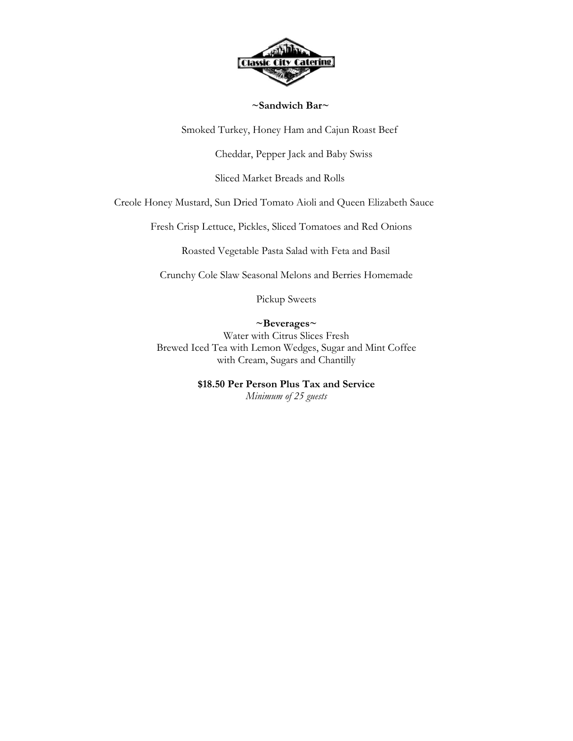

### **~Sandwich Bar~**

Smoked Turkey, Honey Ham and Cajun Roast Beef

Cheddar, Pepper Jack and Baby Swiss

Sliced Market Breads and Rolls

Creole Honey Mustard, Sun Dried Tomato Aioli and Queen Elizabeth Sauce

Fresh Crisp Lettuce, Pickles, Sliced Tomatoes and Red Onions

Roasted Vegetable Pasta Salad with Feta and Basil

Crunchy Cole Slaw Seasonal Melons and Berries Homemade

Pickup Sweets

## **~Beverages~**

Water with Citrus Slices Fresh Brewed Iced Tea with Lemon Wedges, Sugar and Mint Coffee with Cream, Sugars and Chantilly

# **\$18.50 Per Person Plus Tax and Service**

*Minimum of 25 guests*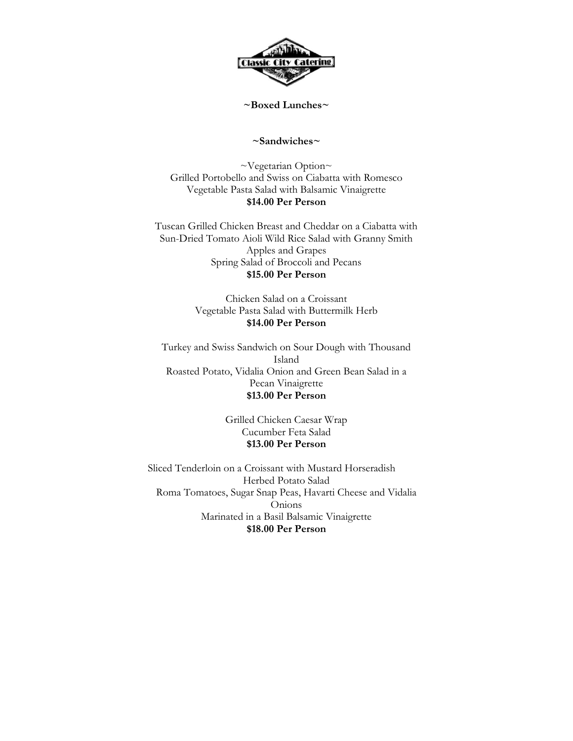

#### **~Boxed Lunches~**

#### **~Sandwiches~**

~Vegetarian Option~ Grilled Portobello and Swiss on Ciabatta with Romesco Vegetable Pasta Salad with Balsamic Vinaigrette **\$14.00 Per Person**

Tuscan Grilled Chicken Breast and Cheddar on a Ciabatta with Sun-Dried Tomato Aioli Wild Rice Salad with Granny Smith Apples and Grapes Spring Salad of Broccoli and Pecans **\$15.00 Per Person**

> Chicken Salad on a Croissant Vegetable Pasta Salad with Buttermilk Herb **\$14.00 Per Person**

Turkey and Swiss Sandwich on Sour Dough with Thousand Island Roasted Potato, Vidalia Onion and Green Bean Salad in a Pecan Vinaigrette **\$13.00 Per Person**

> Grilled Chicken Caesar Wrap Cucumber Feta Salad **\$13.00 Per Person**

Sliced Tenderloin on a Croissant with Mustard Horseradish Herbed Potato Salad Roma Tomatoes, Sugar Snap Peas, Havarti Cheese and Vidalia Onions Marinated in a Basil Balsamic Vinaigrette **\$18.00 Per Person**